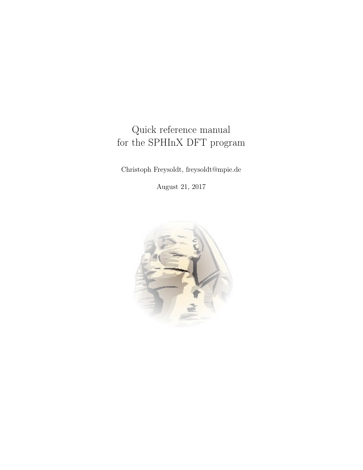# Quick reference manual for the SPHInX DFT program

Christoph Freysoldt, freysoldt@mpie.de

August 21, 2017

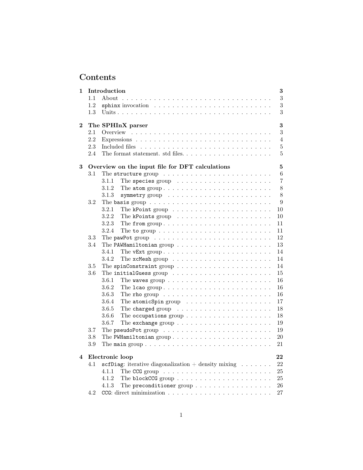# Contents

| 1              |         | Introduction<br>3                                                                               |  |  |
|----------------|---------|-------------------------------------------------------------------------------------------------|--|--|
|                | 1.1     | 3                                                                                               |  |  |
|                | 1.2     | $\boldsymbol{3}$<br>sphinx invocation $\ldots \ldots \ldots \ldots \ldots \ldots \ldots \ldots$ |  |  |
|                | 1.3     | 3                                                                                               |  |  |
|                |         |                                                                                                 |  |  |
| $\overline{2}$ |         | $\bf{3}$<br>The SPHInX parser                                                                   |  |  |
|                | 2.1     | 3                                                                                               |  |  |
|                | 2.2     | $\overline{4}$                                                                                  |  |  |
|                | 2.3     | $\bf 5$<br>Included files                                                                       |  |  |
|                | 2.4     | 5                                                                                               |  |  |
| 3              |         | 5<br>Overview on the input file for DFT calculations                                            |  |  |
|                | 3.1     | 6<br>The structure group $\ldots \ldots \ldots \ldots \ldots \ldots \ldots$                     |  |  |
|                |         | 7<br>3.1.1<br>The species group $\ldots \ldots \ldots \ldots \ldots \ldots \ldots$              |  |  |
|                |         | $8\,$<br>3.1.2<br>The atom group. $\dots \dots \dots \dots \dots \dots \dots \dots$             |  |  |
|                |         | $8\,$<br>3.1.3<br>symmetry group $\ldots \ldots \ldots \ldots \ldots \ldots \ldots$             |  |  |
|                | 3.2     | 9                                                                                               |  |  |
|                |         | 3.2.1<br>10                                                                                     |  |  |
|                |         | The kPoint group $\ldots \ldots \ldots \ldots \ldots \ldots$<br>3.2.2<br>10                     |  |  |
|                |         | The kPoints group $\ldots \ldots \ldots \ldots \ldots \ldots$<br>11                             |  |  |
|                |         | 3.2.3<br>The from group<br>3.2.4                                                                |  |  |
|                |         | 11<br>The to group $\ldots \ldots \ldots \ldots \ldots \ldots \ldots \ldots$<br>12              |  |  |
|                | 3.3     |                                                                                                 |  |  |
|                | $3.4\,$ | 13                                                                                              |  |  |
|                |         | 3.4.1<br>14<br>The vExt group. $\dots \dots \dots \dots \dots \dots \dots \dots \dots$          |  |  |
|                |         | 3.4.2<br>14<br>The $x$ cMesh group $\ldots \ldots \ldots \ldots \ldots \ldots \ldots$           |  |  |
|                | 3.5     | 14                                                                                              |  |  |
|                | 3.6     | 15                                                                                              |  |  |
|                |         | 3.6.1<br>16                                                                                     |  |  |
|                |         | 3.6.2<br>16                                                                                     |  |  |
|                |         | 3.6.3<br>16<br>The rho group $\ldots \ldots \ldots \ldots \ldots \ldots \ldots \ldots$          |  |  |
|                |         | 3.6.4<br>17<br>The atomic Spin group $\ldots \ldots \ldots \ldots \ldots$                       |  |  |
|                |         | 3.6.5<br>18                                                                                     |  |  |
|                |         | 3.6.6<br>18<br>The occupations group $\ldots \ldots \ldots \ldots \ldots \ldots$                |  |  |
|                |         | 3.6.7<br>19<br>The exchange group $\ldots \ldots \ldots \ldots \ldots \ldots \ldots$            |  |  |
|                | 3.7     | 19                                                                                              |  |  |
|                | 3.8     | 20<br>The PWHamiltonian group                                                                   |  |  |
|                | 3.9     | 21                                                                                              |  |  |
|                |         |                                                                                                 |  |  |
| 4              |         | Electronic loop<br>22                                                                           |  |  |
|                | 4.1     | scfDiag: iterative diagonalization + density mixing $\ldots \ldots$<br>22                       |  |  |
|                |         | 25<br>4.1.1<br>The CCG group $\ldots \ldots \ldots \ldots \ldots \ldots \ldots \ldots$          |  |  |
|                |         | 25<br>4.1.2                                                                                     |  |  |
|                |         | The preconditioner group $\dots \dots \dots \dots \dots \dots$<br>26<br>4.1.3                   |  |  |
|                | 4.2     | 27                                                                                              |  |  |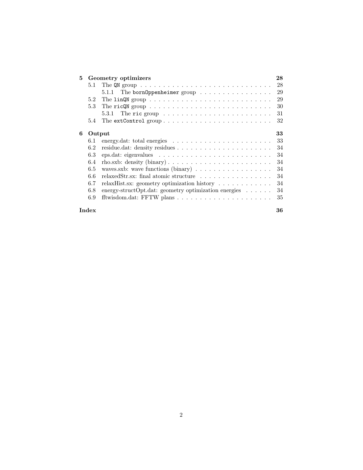| 5. | Geometry optimizers |                                                                                      |    |
|----|---------------------|--------------------------------------------------------------------------------------|----|
|    | 5.1                 | The QN group $\ldots \ldots \ldots \ldots \ldots \ldots \ldots \ldots \ldots \ldots$ | 28 |
|    |                     | The born0ppenheimer group $\dots\dots\dots\dots\dots\dots$<br>5.1.1                  | 29 |
|    | 5.2                 |                                                                                      | 29 |
|    | 5.3                 | The ricQN group $\dots \dots \dots \dots \dots \dots \dots \dots \dots \dots$        | 30 |
|    |                     | The ric group $\dots \dots \dots \dots \dots \dots \dots \dots$<br>5.3.1             | 31 |
|    | 5.4                 |                                                                                      | 32 |
| 6  | Output              |                                                                                      | 33 |
|    | 6.1                 |                                                                                      | 33 |
|    | 6.2                 |                                                                                      | 34 |
|    | 6.3                 |                                                                                      | 34 |
|    | 6.4                 |                                                                                      | 34 |
|    | 6.5                 |                                                                                      | 34 |
|    | 6.6                 | relaxedStr.sx: final atomic structure                                                | 34 |
|    | 6.7                 | relaxHist.sx: geometry optimization history                                          | 34 |
|    | 6.8                 | energy-structOpt.dat: geometry optimization energies $\dots \dots$                   | 34 |
|    | 6.9                 |                                                                                      | 35 |
|    | Index               |                                                                                      | 36 |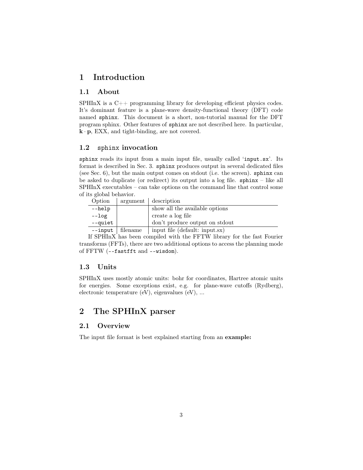# <span id="page-3-6"></span><span id="page-3-0"></span>1 Introduction

## <span id="page-3-1"></span>1.1 About

SPHInX is a  $C_{++}$  programming library for developing efficient physics codes. It's dominant feature is a plane-wave density-functional theory (DFT) code named sphinx. This document is a short, non-tutorial manual for the DFT program sphinx. Other features of sphinx are not described here. In particular,  $\mathbf{k} \cdot \mathbf{p}$ , EXX, and tight-binding, are not covered.

## <span id="page-3-2"></span>1.2 sphinx invocation

sphinx reads its input from a main input file, usually called 'input.sx'. Its format is described in Sec. [3.](#page-5-2) sphinx produces output in several dedicated files (see Sec. [6\)](#page-33-0), but the main output comes on stdout (i.e. the screen). sphinx can be asked to duplicate (or redirect) its output into a log file. sphinx – like all SPHInX executables – can take options on the command line that control some of its global behavior.

| Option         |          | argument   description         |
|----------------|----------|--------------------------------|
| $-\text{help}$ |          | show all the available options |
| $- - log$      |          | create a log file              |
| --quiet        |          | don't produce output on stdout |
| $--input$      | filename | input file (default: input.sx) |

If SPHInX has been compiled with the FFTW library for the fast Fourier transforms (FFTs), there are two additional options to access the planning mode of FFTW (--fastfft and --wisdom).

#### <span id="page-3-3"></span>1.3 Units

SPHInX uses mostly atomic units: bohr for coordinates, Hartree atomic units for energies. Some exceptions exist, e.g. for plane-wave cutoffs (Rydberg), electronic temperature (eV), eigenvalues (eV), ...

# <span id="page-3-4"></span>2 The SPHInX parser

#### <span id="page-3-5"></span>2.1 Overview

The input file format is best explained starting from an example: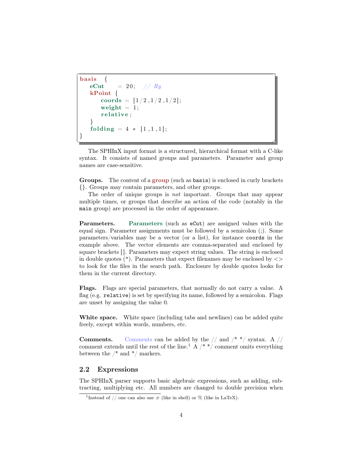```
basis
  eCut = 20; // RykPoint {
    coords = [1/2,1/2,1/2];
    weight = 1;
    relative;
  }
  folding = 4 * [1,1,1];}
<del></u></del>
```
<span id="page-4-2"></span> $\overline{a}$ 

The SPHInX input format is a structured, hierarchical format with a C-like syntax. It consists of named groups and parameters. Parameter and group names are case-sensitive.

Groups. The content of a group (such as basis) is enclosed in curly brackets {}. Groups may contain parameters, and other groups.

The order of unique groups is *not* important. Groups that may appear multiple times, or groups that describe an action of the code (notably in the main group) are processed in the order of appearance.

Parameters. Parameters (such as eCut) are assigned values with the equal sign. Parameter assignments must be followed by a semicolon (;). Some parameters/variables may be a vector (or a list), for instance coords in the example above. The vector elements are comma-separated and enclosed by square brackets  $\left\vert \right\vert$ . Parameters may expect string values. The string is enclosed in double quotes  $($ "). Parameters that expect filenames may be enclosed by  $\langle \rangle$ to look for the files in the search path. Enclosure by double quotes looks for them in the current directory.

Flags. Flags are special parameters, that normally do not carry a value. A flag (e.g. relative) is set by specifying its name, followed by a semicolon. Flags are unset by assigning the value 0.

White space. White space (including tabs and newlines) can be added quite freely, except within words, numbers, etc.

**Comments.** Comments can be added by the  $//$  and  $/*$  \*/ syntax. A  $//$ comment extends until the rest of the line.<sup>[1](#page-4-1)</sup> A  $/*$   $*/$  comment omits everything between the  $/*$  and  $*/$  markers.

#### <span id="page-4-0"></span>2.2 Expressions

The SPHInX parser supports basic algebraic expressions, such as adding, subtracting, multiplying etc. All numbers are changed to double precision when

<span id="page-4-1"></span><sup>&</sup>lt;sup>1</sup>Instead of // one can also use  $#$  (like in shell) or  $%$  (like in LaTeX).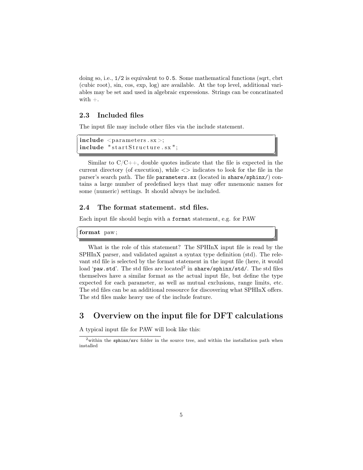<span id="page-5-4"></span>doing so, i.e., 1/2 is equivalent to 0.5. Some mathematical functions (sqrt, cbrt (cubic root), sin, cos, exp, log) are available. At the top level, additional variables may be set and used in algebraic expressions. Strings can be concatinated with  $+$ .

## <span id="page-5-0"></span>2.3 Included files

 $\overline{a}$ 

 $\overline{a}$ 

The input file may include other files via the include statement.

```
include < parameters . sx >;
include "startStructure.sx";
```
Similar to  $C/C++$ , double quotes indicate that the file is expected in the current directory (of execution), while  $\langle \rangle$  indicates to look for the file in the parser's search path. The file parameters.sx (located in share/sphinx/) contains a large number of predefined keys that may offer mnemonic names for some (numeric) settings. It should always be included.

✝ ✆✌

## <span id="page-5-1"></span>2.4 The format statement. std files.

Each input file should begin with a format statement, e.g. for PAW

format paw;



# <span id="page-5-2"></span>3 Overview on the input file for DFT calculations

A typical input file for PAW will look like this:

<span id="page-5-3"></span><sup>&</sup>lt;sup>2</sup>within the sphinx/src folder in the source tree, and within the installation path when installed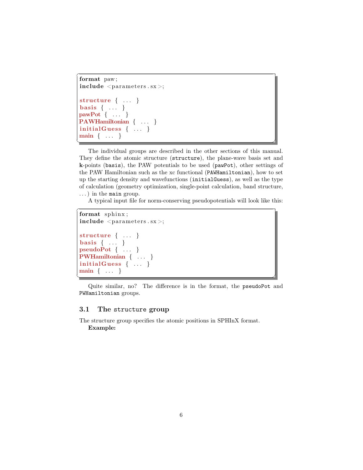```
\overline{a}format paw;
include < parameters . sx >;
structure { . . . }
basis \{ \ldots \}pawPot { . . . }
PAWHamiltonian { ... }
initialGuess \{ ... \}main { . . . }
<del></u></del>
```
The individual groups are described in the other sections of this manual. They define the atomic structure ([structure](#page-6-0)), the plane-wave basis set and k-points ([basis](#page-9-0)), the PAW potentials to be used ([pawPot](#page-12-0)), other settings of the PAW Hamiltonian such as the xc functional ([PAWHamiltonian](#page-13-0)), how to set up the starting density and wavefunctions ([initialGuess](#page-15-0)), as well as the type of calculation (geometry optimization, single-point calculation, band structure,  $\ldots$ ) in the [main](#page-21-0) group.

A typical input file for norm-conserving pseudopotentials will look like this:

```
\overline{a}format sphinx ;
include < parameters . sx >;
structure { ... }
basis \{ \ldots \}pseudoPot { . . . }
PWHamiltonian { ... }
initialGuess \{ ... \}main { . . . }
<del></u></del>
```
Quite similar, no? The difference is in the format, the [pseudoPot](#page-19-1) and [PWHamiltonian](#page-20-0) groups.

## <span id="page-6-0"></span>3.1 The structure group

The structure group specifies the atomic positions in SPHInX format. Example: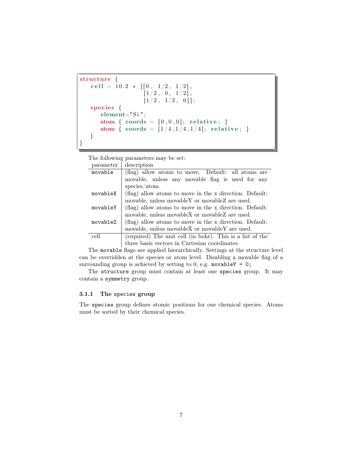```
\overline{a}structure {
    cell = 10.2 * [[0, 1/2, 1/2],[1/2, 0, 1/2],\left[ 1/2, 1/2, 0 \right] ;
    species {
       element="Si " ;
       atom { coords = [0, 0, 0]; relative; }
       atom { coords = [1/4, 1/4, 1/4]; relative; }
    }
}
```
The following parameters may be set:

| parameter | description                                               |
|-----------|-----------------------------------------------------------|
| movable   | (flag) allow atoms to move. Default: all atoms are        |
|           | movable, unless any movable flag is used for any          |
|           | species/atom.                                             |
| movableX  | (flag) allow atoms to move in the x direction. Default:   |
|           | movable, unless movable Y or movable Z are used.          |
| movableY  | (flag) allow atoms to move in the x direction. Default:   |
|           | movable, unless movable X or movable Z are used.          |
| movableZ  | (flag) allow atoms to move in the x direction. Default:   |
|           | movable, unless movable X or movable Y are used.          |
| cell      | (required) The unit cell (in bohr). This is a list of the |
|           | three basis vectors in Cartesian coordinates.             |

<del></u></del>

The movable flags are applied hierarchically. Settings at the structure level can be overridden at the species or atom level. Disabling a movable flag of a surrounding group is achieved by setting to 0, e.g. movableY =  $0$ ;

The structure group must contain at least one [species](#page-7-0) group. It may contain a [symmetry](#page-8-1) group.

#### <span id="page-7-0"></span>3.1.1 The species group

The species group defines atomic positions for one chemical species. Atoms must be sorted by their chemical species.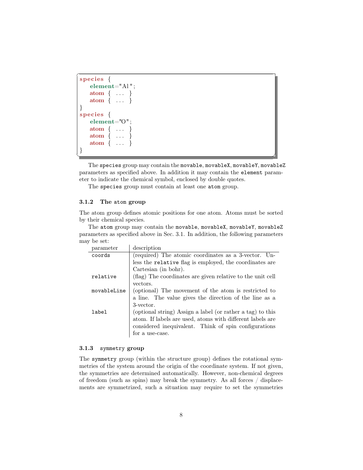```
\overline{a}species {
   element="Al " ;
   atom { . . . }
   atom \{ \ldots \}}
species {
   element="O" ;
   atom \{ \ldots \}atom \{ \ldots \}atom \{ \ldots \}}
<del></u></del>
```
The species group may contain the movable, movableX, movableY, movableZ parameters as specified above. In addition it may contain the element parameter to indicate the chemical symbol, enclosed by double quotes.

The species group must contain at least one [atom](#page-8-0) group.

#### <span id="page-8-0"></span>3.1.2 The atom group

The atom group defines atomic positions for one atom. Atoms must be sorted by their chemical species.

The atom group may contain the movable, movableX, movableY, movableZ parameters as specified above in Sec. [3.1.](#page-6-0) In addition, the following parameters may be set:

| parameter   | description                                                |
|-------------|------------------------------------------------------------|
| coords      | (required) The atomic coordinates as a 3-vector. Un-       |
|             | less the relative flag is employed, the coordinates are    |
|             | Cartesian (in bohr).                                       |
| relative    | (flag) The coordinates are given relative to the unit cell |
|             | vectors.                                                   |
| movableLine | (optional) The movement of the atom is restricted to       |
|             | a line. The value gives the direction of the line as a     |
|             | 3-vector.                                                  |
| label       | (optional string) Assign a label (or rather a tag) to this |
|             | atom. If labels are used, atoms with different labels are  |
|             | considered inequivalent. Think of spin configurations      |
|             | for a use-case.                                            |

#### <span id="page-8-1"></span>3.1.3 symmetry group

The symmetry group (within the structure group) defines the rotational symmetries of the system around the origin of the coordinate system. If not given, the symmetries are determined automatically. However, non-chemical degrees of freedom (such as spins) may break the symmetry. As all forces / displacements are symmetrized, such a situation may require to set the symmetries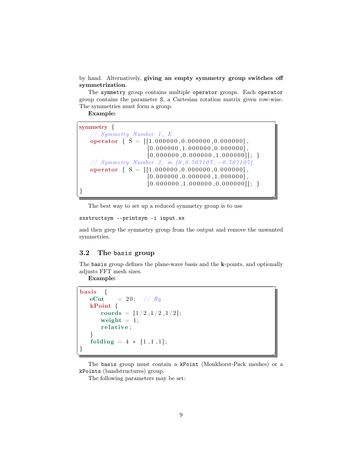<span id="page-9-1"></span>by hand. Alternatively, giving an empty symmetry group switches off symmetrization.

The symmetry group contains multiple operator groups. Each operator group contains the parameter S, a Cartesian rotation matrix given row-wise. The symmetries must form a group.

Example:

 $\overline{a}$ symmetry {  $// Symmetry Number 1, E$ operator  $\{ S = [[1.000000, 0.000000, 0.000000], \]$  $[0.000000, 1.000000, 0.000000],$  $[0.000000, 0.000000, 1.000000]$ ; }  $// Symmetry Number 2, m [0, 0.707107, -0.707107]$ operator  $\{ S = [[1.000000, 0.000000, 0.000000],$  $[0.000000, 0.000000, 1.000000],$  $[0.000000, 1.000000, 0.000000]$ ; }

The best way to set up a reduced symmetry group is to use

```
sxstructsym --printsym -i input.sx
```
and then grep the symmetry group from the output and remove the unwanted symmetries.

<del></u></del>

#### <span id="page-9-0"></span>3.2 The basis group

The basis group defines the plane-wave basis and the k-points, and optionally adjusts FFT mesh sizes.

Example:

```
\overline{a}bas is
   eCut = 20; // RykPoint {
       coords = [1/2,1/2,1/2];
       weight = 1;
       relative;
    }
   folding = 4 * [1,1,1];}
```
The basis group must contain a [kPoint](#page-10-0) (Monkhorst-Pack meshes) or a [kPoints](#page-10-1) (bandstructures) group.

<del></u></del>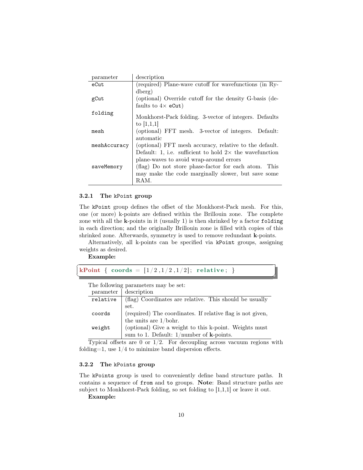<span id="page-10-2"></span>

| parameter    | description                                                     |
|--------------|-----------------------------------------------------------------|
| eCut         | (required) Plane-wave cutoff for wavefunctions (in Ry-          |
|              | dberg)                                                          |
| gCut         | (optional) Override cutoff for the density G-basis (de-         |
|              | faults to $4\times$ eCut)                                       |
| folding      |                                                                 |
|              | Monkhorst-Pack folding. 3-vector of integers. Defaults          |
|              | to $ 1,1,1 $                                                    |
| mesh         | (optional) FFT mesh. 3-vector of integers. Default:             |
|              | automatic                                                       |
| meshAccuracy | (optional) FFT mesh accuracy, relative to the default.          |
|              | Default: 1, i.e. sufficient to hold $2 \times$ the wavefunction |
|              | plane-waves to avoid wrap-around errors                         |
| saveMemory   | (flag) Do not store phase-factor for each atom. This            |
|              | may make the code marginally slower, but save some              |
|              | RAM.                                                            |

#### <span id="page-10-0"></span>3.2.1 The kPoint group

The kPoint group defines the offset of the Monkhorst-Pack mesh. For this, one (or more) k-points are defined within the Brillouin zone. The complete zone with all the  $k$ -points in it (usually 1) is then shrinked by a factor folding in each direction; and the originally Brillouin zone is filled with copies of this shrinked zone. Afterwards, symmetry is used to remove redundant k-points.

Alternatively, all k-points can be specified via kPoint groups, assigning weights as desired.

<del></u></del>

Example:

 $\overline{a}$ **kPoint** { coords =  $[1/2, 1/2, 1/2]$ ; relative; }

The following parameters may be set:

| parameter | description                                                |
|-----------|------------------------------------------------------------|
| relative  | (flag) Coordinates are relative. This should be usually    |
|           | set.                                                       |
| coords    | (required) The coordinates. If relative flag is not given, |
|           | the units are $1/bohr$ .                                   |
| weight    | (optional) Give a weight to this k-point. Weights must     |
|           | sum to 1. Default: $1/$ number of $k$ -points.             |

Typical offsets are 0 or  $1/2$ . For decoupling across vacuum regions with folding=1, use  $1/4$  to minimize band dispersion effects.

#### <span id="page-10-1"></span>3.2.2 The kPoints group

The kPoints group is used to conveniently define band structure paths. It contains a sequence of [from](#page-11-0) and [to](#page-11-1) groups. Note: Band structure paths are subject to Monkhorst-Pack folding, so set folding to [1,1,1] or leave it out.

Example: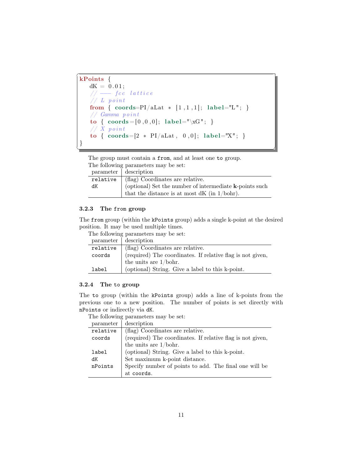```
kPoints {
   dK = 0.01;// \ fcc lattice
   \frac{1}{\sqrt{2}} L point
   from { coordinates=PI/aLat * [1,1,1]; label="L"; }
   // Gamma pointto { coords = [0, 0, 0]; label="\xG"; }
   // X pointto { coordinates=[2 * PI/aLat, 0, 0]; label="X"; }
}
<del></u></del>
```
The group must contain a [from](#page-11-0), and at least one [to](#page-11-1) group. The following parameters may be set:

|    | parameter description                                      |
|----|------------------------------------------------------------|
|    | relative $\vert$ (flag) Coordinates are relative.          |
| dK | (optional) Set the number of intermediate $k$ -points such |
|    | that the distance is at most $dK$ (in $1/bohr$ ).          |

## <span id="page-11-0"></span>3.2.3 The from group

<span id="page-11-2"></span> $\overline{a}$ 

The from group (within the [kPoints](#page-10-1) group) adds a single k-point at the desired position. It may be used multiple times.

The following parameters may be set:

| parameter | description                                                |
|-----------|------------------------------------------------------------|
| relative  | (flag) Coordinates are relative.                           |
| coords    | (required) The coordinates. If relative flag is not given, |
|           | the units are $1/bohr$ .                                   |
| label     | (optional) String. Give a label to this k-point.           |

#### <span id="page-11-1"></span>3.2.4 The to group

The to group (within the [kPoints](#page-10-1) group) adds a line of k-points from the previous one to a new position. The number of points is set directly with nPoints or indirectly via dK.

| parameter | description                                                |
|-----------|------------------------------------------------------------|
| relative  | (flag) Coordinates are relative.                           |
| coords    | (required) The coordinates. If relative flag is not given, |
|           | the units are $1/bohr$ .                                   |
| label     | (optional) String. Give a label to this k-point.           |
| dK        | Set maximum k-point distance.                              |
| nPoints   | Specify number of points to add. The final one will be     |
|           | at coords.                                                 |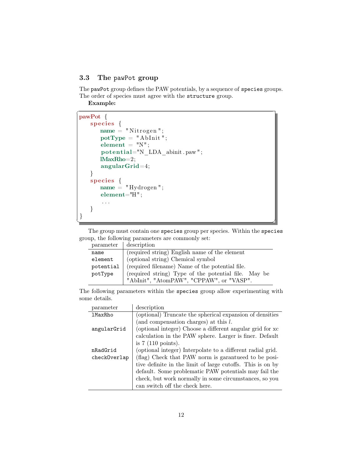## <span id="page-12-1"></span><span id="page-12-0"></span>3.3 The pawPot group

The pawPot group defines the PAW potentials, by a sequence of species groups. The order of species must agree with the [structure](#page-6-0) group.

Example:

```
\overline{a}pawPot {
   species {
     name = "Nitrogen";potType = "AbInit";element = "N";potential="N_LDA_abinit . paw";
     lMaxRho=2;
     angularGrid=4;
   }
   species {
     name = "Hydrogen";element="H" ;
      . . .
   }
}
<del></u></del>
```
The group must contain one species group per species. Within the species group, the following parameters are commonly set:

| parameter | description                                          |
|-----------|------------------------------------------------------|
| name      | (required string) English name of the element        |
| element   | (optional string) Chemical symbol                    |
| potential | (required filename) Name of the potential file.      |
| potType   | (required string) Type of the potential file. May be |
|           | "AbInit", "AtomPAW", "CPPAW", or "VASP".             |

The following parameters within the species group allow experimenting with some details.

| parameter      | description                                                |
|----------------|------------------------------------------------------------|
| <b>1MaxRho</b> | (optional) Truncate the spherical expansion of densities   |
|                | (and compensation charges) at this $l$ .                   |
| angularGrid    | (optional integer) Choose a different angular grid for xc  |
|                | calculation in the PAW sphere. Larger is finer. Default    |
|                | is $7(110 \text{ points}).$                                |
| nRadGrid       | (optional integer) Interpolate to a different radial grid. |
| checkOverlap   | (flag) Check that PAW norm is garantueed to be posi-       |
|                | tive definite in the limit of large cutoffs. This is on by |
|                | default. Some problematic PAW potentials may fail the      |
|                | check, but work normally in some circumstances, so you     |
|                | can switch off the check here.                             |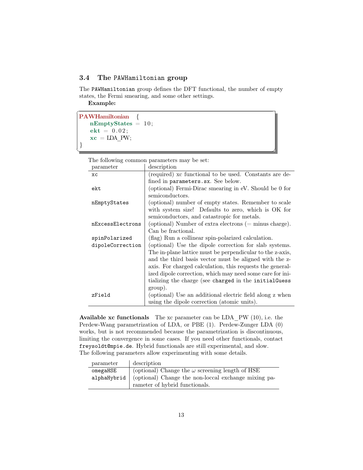## <span id="page-13-1"></span><span id="page-13-0"></span>3.4 The PAWHamiltonian group

The PAWHamiltonian group defines the DFT functional, the number of empty states, the Fermi smearing, and some other settings.

Example:

```
\overline{a}PAWHamiltonian {
  nEmptyStates = 10;ekt = 0.02;xc = LDA_PW;}
<del></u></del>
```
The following common parameters may be set:

| parameter        | description                                               |
|------------------|-----------------------------------------------------------|
| <b>XC</b>        | (required) xc functional to be used. Constants are de-    |
|                  | fined in parameters.sx. See below.                        |
| ekt              | (optional) Fermi-Dirac smearing in eV. Should be 0 for    |
|                  | semiconductors.                                           |
| nEmptyStates     | (optional) number of empty states. Remember to scale      |
|                  | with system size! Defaults to zero, which is OK for       |
|                  | semiconductors, and catastropic for metals.               |
| nExcessElectrons | (optional) Number of extra electrons $(=$ minus charge).  |
|                  | Can be fractional.                                        |
| spinPolarized    | (flag) Run a collinear spin-polarized calculation.        |
| dipoleCorrection | (optional) Use the dipole correction for slab systems.    |
|                  | The in-plane lattice must be perpendicular to the z-axis, |
|                  | and the third basis vector must be aligned with the z-    |
|                  | axis. For charged calculation, this requests the general- |
|                  | ized dipole correction, which may need some care for ini- |
|                  | tializing the charge (see charged in the initialGuess     |
|                  | group).                                                   |
| zField           | (optional) Use an additional electric field along z when  |
|                  | using the dipole correction (atomic units).               |

**Available xc functionals** The xc parameter can be LDA  $PW (10)$ , i.e. the Perdew-Wang parametrization of LDA, or PBE (1). Perdew-Zunger LDA (0) works, but is not recommended because the parametrization is discontinuous, limiting the convergence in some cases. If you need other functionals, contact freysoldt@mpie.de. Hybrid functionals are still experimental, and slow. The following parameters allow experimenting with some details.

| parameter   | description                                            |
|-------------|--------------------------------------------------------|
| omegaHSE    | (optional) Change the $\omega$ screening length of HSE |
| alphaHybrid | (optional) Change the non-loccal exchange mixing pa-   |
|             | rameter of hybrid functionals.                         |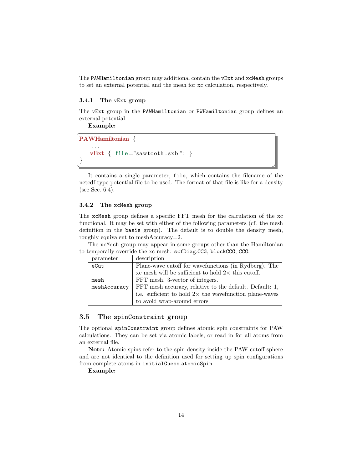<span id="page-14-3"></span>The PAWHamiltonian group may additional contain the [vExt](#page-14-0) and [xcMesh](#page-14-1) groups to set an external potential and the mesh for xc calculation, respectively.

#### <span id="page-14-0"></span>3.4.1 The vExt group

The vExt group in the [PAWHamiltonian](#page-13-0) or [PWHamiltonian](#page-20-0) group defines an external potential.

Example:

```
\overline{a}PAWHamiltonian {
     . . .
    vExt { file=" sawtooth.sxb";}
}
```
It contains a single parameter, file, which contains the filename of the netcdf-type potential file to be used. The format of that file is like for a density (see Sec. [6.4\)](#page-34-2).

<del></u></del>

#### <span id="page-14-1"></span>3.4.2 The xcMesh group

The xcMesh group defines a specific FFT mesh for the calculation of the xc functional. It may be set with either of the following parameters (cf. the mesh definition in the [basis](#page-9-0) group). The default is to double the density mesh, roughly equivalent to meshAccuracy=2.

The xcMesh group may appear in some groups other than the Hamiltonian to temporally override the xc mesh: [scfDiag](#page-22-1).[CCG](#page-25-0), [blockCCG](#page-25-1), [CCG](#page-27-0).

| parameter    | description                                                    |
|--------------|----------------------------------------------------------------|
| eCut         | Plane-wave cutoff for wavefunctions (in Rydberg). The          |
|              | xc mesh will be sufficient to hold $2\times$ this cutoff.      |
| mesh         | FFT mesh. 3-vector of integers.                                |
| meshAccuracy | FFT mesh accuracy, relative to the default. Default: 1,        |
|              | i.e. sufficient to hold $2\times$ the wavefunction plane-waves |
|              | to avoid wrap-around errors                                    |

## <span id="page-14-2"></span>3.5 The spinConstraint group

The optional spinConstraint group defines atomic spin constraints for PAW calculations. They can be set via atomic labels, or read in for all atoms from an external file.

Note: Atomic spins refer to the spin density inside the PAW cutoff sphere and are not identical to the definition used for setting up spin configurations from complete atoms in [initialGuess](#page-15-0).[atomicSpin](#page-17-0).

Example: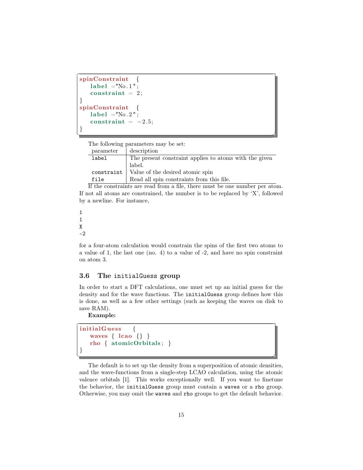```
spinConstraint {
   label = "No.1";
   constraint = 2;
}
spinConstraint {
   label = "No. 2";constraint = -2.5;
}
```
The following parameters may be set:

| parameter  | description                                            |
|------------|--------------------------------------------------------|
| label      | The present constraint applies to atoms with the given |
|            | label.                                                 |
| constraint | Value of the desired atomic spin                       |
| file       | Read all spin constraints from this file.              |

<del></del> <del></u></del>

If the constraints are read from a file, there must be one number per atom. If not all atoms are constrained, the number is to be replaced by 'X', followed by a newline. For instance,

```
1
1
X
-2
```
<span id="page-15-1"></span> $\overline{a}$ 

for a four-atom calculation would constrain the spins of the first two atoms to a value of 1, the last one (no. 4) to a value of -2, and have no spin constraint on atom 3.

#### <span id="page-15-0"></span>3.6 The initialGuess group

In order to start a DFT calculations, one must set up an initial guess for the density and for the wave functions. The initialGuess group defines how this is done, as well as a few other settings (such as keeping the waves on disk to save RAM).

Example:

```
\overline{a}initialGuess {
   waves \{ \text{ lcao } \{\} \}rho { atomicOrbitals ; }
}
<del></del> <del></u></del>
```
The default is to set up the density from a superposition of atomic densities, and the wave-functions from a single-step LCAO calculation, using the atomic valence orbitals [\[1\]](#page-35-1). This works exceptionally well. If you want to finetune the behavior, the initialGuess group must contain a [waves](#page-16-0) or a [rho](#page-16-2) group. Otherwise, you may omit the [waves](#page-16-0) and [rho](#page-16-2) groups to get the default behavior.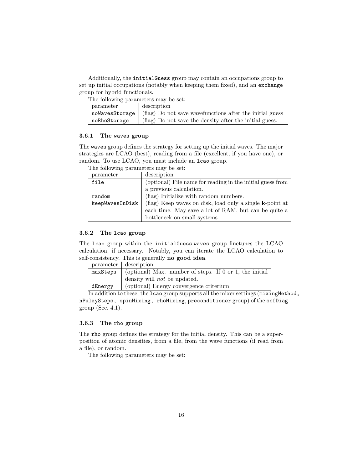<span id="page-16-3"></span>Additionally, the initialGuess group may contain an occupations group to set up initial occupations (notably when keeping them fixed), and an [exchange](#page-19-0) group for hybrid functionals.

The following parameters may be set:

| parameter      | description                                              |
|----------------|----------------------------------------------------------|
| noWavesStorage | (flag) Do not save wavefunctions after the initial guess |
| noRhoStorage   | (flag) Do not save the density after the initial guess.  |

#### <span id="page-16-0"></span>3.6.1 The waves group

The waves group defines the strategy for setting up the initial waves. The major strategies are LCAO (best), reading from a file (excellent, if you have one), or random. To use LCAO, you must include an [lcao](#page-16-1) group.

The following parameters may be set:

| parameter       | description                                                |
|-----------------|------------------------------------------------------------|
| file            | (optional) File name for reading in the initial guess from |
|                 | a previous calculation.                                    |
| random          | (flag) Initialize with random numbers.                     |
| keepWavesOnDisk | (flag) Keep waves on disk, load only a single k-point at   |
|                 | each time. May save a lot of RAM, but can be quite a       |
|                 | bottleneck on small systems.                               |

#### <span id="page-16-1"></span>3.6.2 The lcao group

The lcao group within the [initialGuess](#page-15-0).[waves](#page-16-0) group finetunes the LCAO calculation, if necessary. Notably, you can iterate the LCAO calculation to self-consistency. This is generally no good idea.

|         | parameter description                                                          |
|---------|--------------------------------------------------------------------------------|
|         | maxSteps $\vert$ (optional) Max. number of steps. If 0 or 1, the initial       |
|         | density will <i>not</i> be updated.                                            |
| dEnergy | (optional) Energy convergence criterium                                        |
|         | In addition to those the Lane group supports all the mixer settings (mixing Me |

In addition to these, the lcao group supports all the mixer settings (mixingMethod, nPulaySteps, spinMixing, rhoMixing, [preconditioner](#page-26-0) group) of the [scfDiag](#page-22-1) group (Sec. [4.1\)](#page-22-1).

## <span id="page-16-2"></span>3.6.3 The rho group

The rho group defines the strategy for the initial density. This can be a superposition of atomic densities, from a file, from the wave functions (if read from a file), or random.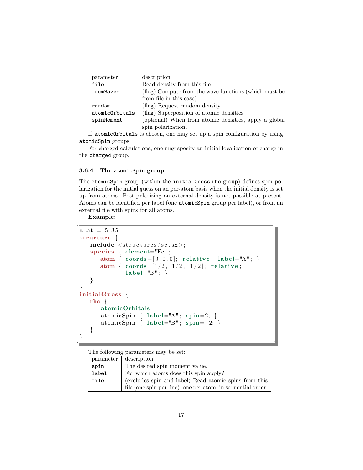<span id="page-17-1"></span>

| parameter      | description                                           |
|----------------|-------------------------------------------------------|
| file           | Read density from this file.                          |
| fromWaves      | (flag) Compute from the wave functions (which must be |
|                | from file in this case).                              |
| random         | (flag) Request random density                         |
| atomicOrbitals | (flag) Superposition of atomic densities              |
| spinMoment     | (optional) When from atomic densities, apply a global |
|                | spin polarization.                                    |

If atomicOrbitals is chosen, one may set up a spin configuration by using [atomicSpin](#page-17-0) groups.

For charged calculations, one may specify an initial localization of charge in the [charged](#page-18-0) group.

#### <span id="page-17-0"></span>3.6.4 The atomicSpin group

The atomicSpin group (within the [initialGuess](#page-15-0).[rho](#page-16-2) group) defines spin polarization for the initial guess on an per-atom basis when the initial density is set up from atoms. Post-polarizing an external density is not possible at present. Atoms can be identified per label (one atomicSpin group per label), or from an external file with spins for all atoms.

Example:

```
\overline{a}aLat = 5.35;structure {
   include < structures/sc.sx>;
   species \{ element="Fe";
       atom { coords = [0, 0, 0]; relative; label="A"; }
       atom { \text{coordinates}=[1/2, 1/2, 1/2]; relative;
               label="B"; }
    }
}
initial Guess \{rho {
       atomicOrbitals ;
       atomicSpin { label="A"; spin=2; }
       atomicSpin { label="B"; spin=-2; }
    }
}
```
The following parameters may be set:<br>narrow  $\frac{1}{2}$  decentrion  $\overline{\phantom{a}}$  december

| parameter | description                                                  |
|-----------|--------------------------------------------------------------|
| spin      | The desired spin moment value.                               |
| label     | For which atoms does this spin apply?                        |
| file      | (excludes spin and label) Read atomic spins from this        |
|           | file (one spin per line), one per atom, in sequential order. |

✝ ✆✌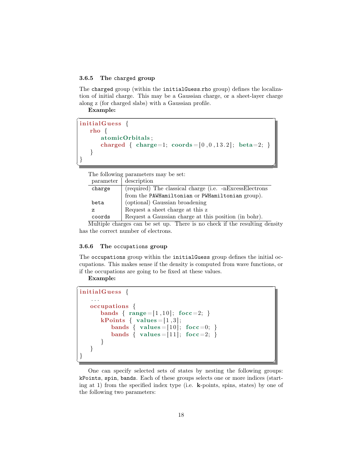#### <span id="page-18-2"></span><span id="page-18-0"></span>3.6.5 The charged group

The charged group (within the [initialGuess](#page-15-0).[rho](#page-16-2) group) defines the localization of initial charge. This may be a Gaussian charge, or a sheet-layer charge along z (for charged slabs) with a Gaussian profile.

Example:

 $\overline{a}$  $initial\mathbf{G}$ uess  $\{$ rho { atomicOrbitals ; charged { charge=1;  $\text{coords} = [0, 0, 13.2]$ ; beta=2; } } } <del></u></del>

The following parameters may be set:

| parameter | description                                                                                                                                                                                                                                                                                      |
|-----------|--------------------------------------------------------------------------------------------------------------------------------------------------------------------------------------------------------------------------------------------------------------------------------------------------|
| charge    | (required) The classical charge (i.e. -nExcessElectrons                                                                                                                                                                                                                                          |
|           | from the PAWHamiltonian or PWHamiltonian group).                                                                                                                                                                                                                                                 |
| beta      | (optional) Gaussian broadening                                                                                                                                                                                                                                                                   |
| z         | Request a sheet charge at this z                                                                                                                                                                                                                                                                 |
| coords    | Request a Gaussian charge at this position (in bohr).                                                                                                                                                                                                                                            |
|           | $\mathbf{1}$ and $\mathbf{1}$ and $\mathbf{1}$ and $\mathbf{1}$ and $\mathbf{1}$ and $\mathbf{1}$ and $\mathbf{1}$ and $\mathbf{1}$ and $\mathbf{1}$ and $\mathbf{1}$ and $\mathbf{1}$ and $\mathbf{1}$ and $\mathbf{1}$ and $\mathbf{1}$ and $\mathbf{1}$ and $\mathbf{1}$ and $\mathbf{1}$ and |

Multiple charges can be set up. There is no check if the resulting density has the correct number of electrons.

#### <span id="page-18-1"></span>3.6.6 The occupations group

The occupations group within the [initialGuess](#page-15-0) group defines the initial occupations. This makes sense if the density is computed from wave functions, or if the occupations are going to be fixed at these values.

Example:

```
\overline{a}initial\mathbf{G}uess \{. . .
   occupations {
      bands { range = [1, 10]; focc = 2; }
      kPoints { values = [1,3];
         bands { values = [10]; focc=0; }
         bands { values = [11]; focc=2; }
      }
   }
}
<del></del> <del></u></del>
```
One can specify selected sets of states by nesting the following groups: kPoints, spin, bands. Each of these groups selects one or more indices (starting at 1) from the specified index type (i.e. k-points, spins, states) by one of the following two parameters: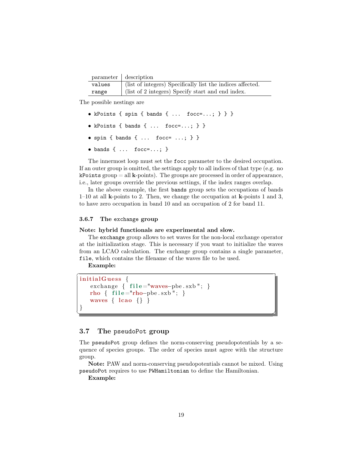<span id="page-19-2"></span>

|        | parameter description                                      |
|--------|------------------------------------------------------------|
| values | (list of integers) Specifically list the indices affected. |
| range  | (list of 2 integers) Specify start and end index.          |

The possible nestings are

- kPoints { spin { bands { ... focc=...; } } }
- kPoints { bands { ...  $f$ occ=...; } }
- spin { bands { ... focc= ...; } }
- $\bullet$  bands { ... focc=...; }

The innermost loop must set the focc parameter to the desired occupation. If an outer group is omitted, the settings apply to all indices of that type (e.g. no  $k$ Points group = all  $k$ -points). The groups are processed in order of appearance, i.e., later groups override the previous settings, if the index ranges overlap.

In the above example, the first bands group sets the occupations of bands 1–10 at all k-points to 2. Then, we change the occupation at k-points 1 and 3, to have zero occupation in band 10 and an occupation of 2 for band 11.

#### <span id="page-19-0"></span>3.6.7 The exchange group

#### Note: hybrid functionals are experimental and slow.

The exchange group allows to set waves for the non-local exchange operator at the initialization stage. This is necessary if you want to initialize the waves from an LCAO calculation. The exchange group contains a single parameter, file, which contains the filename of the waves file to be used.

Example:

```
\overline{a}initial\mathbf{G}uess \{exchange { file="waves-pbe.sxb"; }
    rho { file="rho-pbe.sxb"; }
    waves \{ \text{ lcao } \{\} \}}
```
## <span id="page-19-1"></span>3.7 The pseudoPot group

The pseudoPot group defines the norm-conserving pseudopotentials by a sequence of species groups. The order of species must agree with the structure group.

<del></u></del>

Note: PAW and norm-conserving pseudopotentials cannot be mixed. Using pseudoPot requires to use [PWHamiltonian](#page-20-0) to define the Hamiltonian.

Example: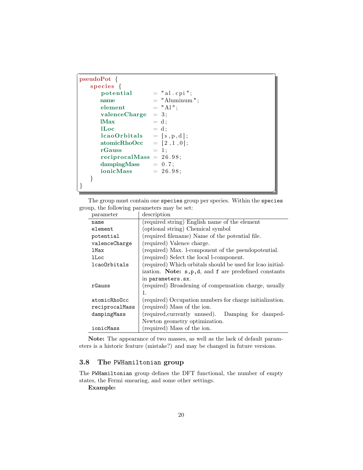<span id="page-20-1"></span>

| $pseudoPot \{$              |                 |  |
|-----------------------------|-----------------|--|
| species $\{$                |                 |  |
| potential                   | $=$ "al.cpi";   |  |
| name                        | $=$ "Aluminum"; |  |
| element                     | $=$ "Al";       |  |
| $value C harge = 3;$        |                 |  |
| IMax                        | $= d;$          |  |
| <b>ILoc</b>                 | $= d$ ;         |  |
| $lcaoOrbitals = [s, p, d];$ |                 |  |
| $atomicRhoOcc = [2, 1, 0];$ |                 |  |
| rGauss<br>$= 1;$            |                 |  |
| reciprocalMass = $26.98$ ;  |                 |  |
| $dampingMass = 0.7;$        |                 |  |
| $ionicMass = 26.98;$        |                 |  |
|                             |                 |  |
|                             |                 |  |
|                             |                 |  |

The group must contain one species group per species. Within the species group, the following parameters may be set:

| name                | (required string) English name of the element               |
|---------------------|-------------------------------------------------------------|
| element             | (optional string) Chemical symbol                           |
| potential           | (required filename) Name of the potential file.             |
| valenceCharge       | (required) Valence charge.                                  |
| $1$ Max             | (required) Max. 1-component of the pseudopotential.         |
| lLoc                | (required) Select the local l-component.                    |
| <b>lcaoOrbitals</b> | (required) Which orbitals should be used for lcao initial-  |
|                     | ization. Note: $s, p, d$ , and $f$ are predefined constants |
|                     | in parameters.sx.                                           |
| rGauss              | (required) Broadening of compensation charge, usually       |
|                     | 1.                                                          |
| atomicRhoOcc        | (required) Occupation numbers for charge initialization.    |
| reciprocalMass      | (required) Mass of the ion.                                 |
| dampingMass         | (required, currently unused). Damping for damped-           |
|                     | Newton geometry optimization.                               |
| ionicMass           | (required) Mass of the ion.                                 |
|                     |                                                             |

parameter description

Note: The appearance of two masses, as well as the lack of default parameters is a historic feature (mistake?) and may be changed in future versions.

## <span id="page-20-0"></span>3.8 The PWHamiltonian group

The PWHamiltonian group defines the DFT functional, the number of empty states, the Fermi smearing, and some other settings.

Example: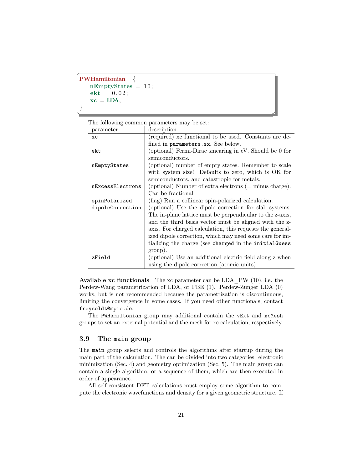```
\overline{a}PWHamiltonian {
  nEmptyStates = 10;ekt = 0.02;xc = LDA;}
✝ ✆✌
```
The following common parameters may be set:

| parameter        | description                                               |
|------------------|-----------------------------------------------------------|
| <b>XC</b>        | (required) xc functional to be used. Constants are de-    |
|                  | fined in parameters.sx. See below.                        |
| ekt              | (optional) Fermi-Dirac smearing in eV. Should be 0 for    |
|                  | semiconductors.                                           |
| nEmptyStates     | (optional) number of empty states. Remember to scale      |
|                  | with system size! Defaults to zero, which is OK for       |
|                  | semiconductors, and catastropic for metals.               |
| nExcessElectrons | (optional) Number of extra electrons $(=$ minus charge).  |
|                  | Can be fractional.                                        |
| spinPolarized    | (flag) Run a collinear spin-polarized calculation.        |
| dipoleCorrection | (optional) Use the dipole correction for slab systems.    |
|                  | The in-plane lattice must be perpendicular to the z-axis, |
|                  | and the third basis vector must be aligned with the z-    |
|                  | axis. For charged calculation, this requests the general- |
|                  | ized dipole correction, which may need some care for ini- |
|                  | tializing the charge (see charged in the initialGuess     |
|                  | group).                                                   |
| zField           | (optional) Use an additional electric field along z when  |
|                  | using the dipole correction (atomic units).               |

**Available xc functionals** The xc parameter can be LDA  $PW (10)$ , i.e. the Perdew-Wang parametrization of LDA, or PBE (1). Perdew-Zunger LDA (0) works, but is not recommended because the parametrization is discontinuous, limiting the convergence in some cases. If you need other functionals, contact freysoldt@mpie.de.

The PWHamiltonian group may additional contain the [vExt](#page-14-0) and [xcMesh](#page-14-1) groups to set an external potential and the mesh for xc calculation, respectively.

## <span id="page-21-0"></span>3.9 The main group

The main group selects and controls the algorithms after startup during the main part of the calculation. The can be divided into two categories: electronic minimization (Sec. [4\)](#page-22-0) and geometry optimization (Sec. [5\)](#page-28-0). The main group can contain a single algorithm, or a sequence of them, which are then executed in order of appearance.

All self-consistent DFT calculations must employ some algorithm to compute the electronic wavefunctions and density for a given geometric structure. If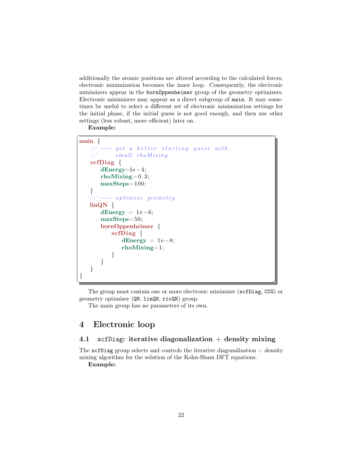<span id="page-22-2"></span>additionally the atomic positions are altered according to the calculated forces, electronic minimization becomes the inner loop. Consequently, the electronic minimizers appear in the [bornOppenheimer](#page-29-0) group of the geometry optimizers. Electronic minimizers may appear as a direct subgroup of main. It may sometimes be useful to select a different set of electronic minimization settings for the initial phase, if the initial guess is not good enough, and then use other settings (less robust, more efficient) later on.

Example:



The group must contain one or more electronic minimizer ([scfDiag](#page-22-1), [CCG](#page-27-0)) or geometry optimizer ([QN](#page-28-1), [linQN](#page-29-1), [ricQN](#page-30-0)) group.

The main group has no parameters of its own.

# <span id="page-22-0"></span>4 Electronic loop

## <span id="page-22-1"></span>4.1 scfDiag: iterative diagonalization  $+$  density mixing

The scfDiag group selects and controls the iterative diagonalization  $+$  density mixing algorithm for the solution of the Kohn-Sham DFT equations.

Example: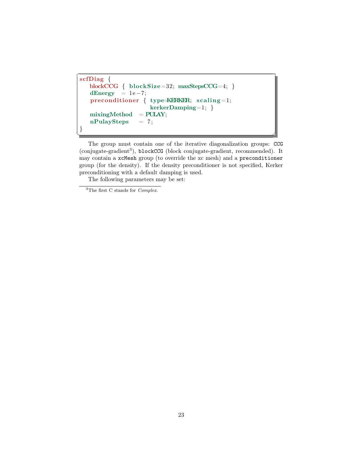```
\overline{a}scfDiag {
   blockCCG { blockSize=32; maxStepsCCG=4; }
   dEnergy = 1e-7;
   preconditioner { type=KERKER; scaling=1;
                     kerkerDamping=1; }
   mixingMethod = PULAY;nPulaySteps = 7;}
```
The group must contain one of the iterative diagonalization groups: [CCG](#page-25-0) (conjugate-gradient<sup>[3](#page-23-0)</sup>), [blockCCG](#page-25-1) (block conjugate-gradient, recommended). It may contain a [xcMesh](#page-14-1) group (to override the xc mesh) and a [preconditioner](#page-26-0) group (for the density). If the density preconditioner is not specified, Kerker preconditioning with a default damping is used.

<del></del> <del></u></del>

<span id="page-23-0"></span><sup>3</sup>The first C stands for Complex.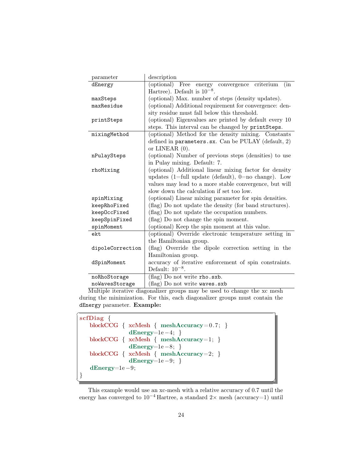<span id="page-24-0"></span>

| parameter        | description                                             |
|------------------|---------------------------------------------------------|
| dEnergy          | (optional) Free energy convergence<br>criterium<br>(in  |
|                  | Hartree). Default is $10^{-8}$ .                        |
| maxSteps         | (optional) Max. number of steps (density updates).      |
| maxResidue       | (optional) Additional requirement for convergence: den- |
|                  | sity residue must fall below this threshold.            |
| printSteps       | (optional) Eigenvalues are printed by default every 10  |
|                  | steps. This interval can be changed by printSteps.      |
| mixingMethod     | (optional) Method for the density mixing. Constants     |
|                  | defined in parameters.sx. Can be PULAY (default, 2)     |
|                  | or LINEAR $(0)$ .                                       |
| nPulaySteps      | (optional) Number of previous steps (densities) to use  |
|                  | in Pulay mixing. Default: 7.                            |
| rhoMixing        | (optional) Additional linear mixing factor for density  |
|                  | updates (1=full update (default), $0=$ no change). Low  |
|                  | values may lead to a more stable convergence, but will  |
|                  | slow down the calculation if set too low.               |
| spinMixing       | (optional) Linear mixing parameter for spin densities.  |
| keepRhoFixed     | (flag) Do not update the density (for band structures). |
| keepOccFixed     | (flag) Do not update the occupation numbers.            |
| keepSpinFixed    | (flag) Do not change the spin moment.                   |
| spinMoment       | (optional) Keep the spin moment at this value.          |
| ekt              | (optional) Override electronic temperature setting in   |
|                  | the Hamiltonian group.                                  |
| dipoleCorrection | (flag) Override the dipole correction setting in the    |
|                  | Hamiltonian group.                                      |
| dSpinMoment      | accuracy of iterative enforcement of spin constraints.  |
|                  | Default: $10^{-8}$ .                                    |
| noRhoStorage     | (flag) Do not write rho.sxb.                            |
| noWavesStorage   | (flag) Do not write waves.sxb                           |

Multiple iterative diagonalizer groups may be used to change the xc mesh during the minimization. For this, each diagonalizer groups must contain the dEnergy parameter. Example:

```
\overline{a}scfDiag {
  blockCCG { xcMesh { meshAccuracy=0.7; }
             dEnergy=1e −4; }
  blockCCG { xcMesh { meshAccuracy=1; }
             dEnergy=1e −8; }
  blockCCG { xcMesh { meshAccuracy=2; }
             dEnergy=1e −9; }
   dEnergy=1e −9;
}
<del></u></del>
```
This example would use an xc-mesh with a relative accuracy of 0.7 until the energy has converged to  $10^{-4}$  Hartree, a standard 2× mesh (accuracy=1) until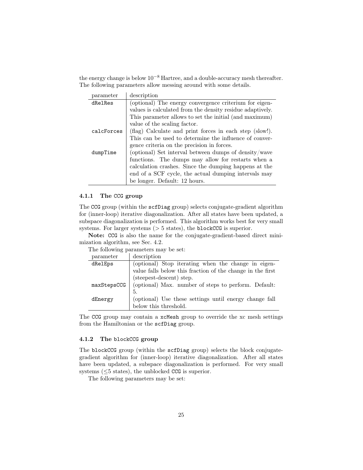<span id="page-25-2"></span>the energy change is below 10−<sup>8</sup> Hartree, and a double-accuracy mesh thereafter. The following parameters allow messing around with some details.

| parameter  | description                                               |
|------------|-----------------------------------------------------------|
| dRelRes    | (optional) The energy convergence criterium for eigen-    |
|            | values is calculated from the density residue adaptively. |
|            | This parameter allows to set the initial (and maximum)    |
|            | value of the scaling factor.                              |
| calcForces | (flag) Calculate and print forces in each step (slow!).   |
|            | This can be used to determine the influence of conver-    |
|            | gence criteria on the precision in forces.                |
| dumpTime   | (optional) Set interval between dumps of density/wave     |
|            | functions. The dumps may allow for restarts when a        |
|            | calculation crashes. Since the dumping happens at the     |
|            | end of a SCF cycle, the actual dumping intervals may      |
|            | be longer. Default: 12 hours.                             |

#### <span id="page-25-0"></span>4.1.1 The CCG group

The CCG group (within the [scfDiag](#page-22-1) group) selects conjugate-gradient algorithm for (inner-loop) iterative diagonalization. After all states have been updated, a subspace diagonalization is performed. This algorithm works best for very small systems. For larger systems  $($  > 5 states), the [blockCCG](#page-25-1) is superior.

Note: [CCG](#page-27-0) is also the name for the conjugate-gradient-based direct minimization algorithm, see Sec. [4.2.](#page-27-0)

The following parameters may be set:

| parameter   | description                                                |
|-------------|------------------------------------------------------------|
| dRelEps     | (optional) Stop iterating when the change in eigen-        |
|             | value falls below this fraction of the change in the first |
|             | (steepest-descent) step.                                   |
| maxStepsCCG | (optional) Max. number of steps to perform. Default:       |
|             | 5.                                                         |
| dEnergy     | (optional) Use these settings until energy change fall     |
|             | below this threshold.                                      |

The CCG group may contain a [xcMesh](#page-14-1) group to override the xc mesh settings from the Hamiltonian or the [scfDiag](#page-22-1) group.

#### <span id="page-25-1"></span>4.1.2 The blockCCG group

The blockCCG group (within the [scfDiag](#page-22-1) group) selects the block conjugategradient algorithm for (inner-loop) iterative diagonalization. After all states have been updated, a subspace diagonalization is performed. For very small systems ( $\leq$ 5 states), the unblocked [CCG](#page-25-0) is superior.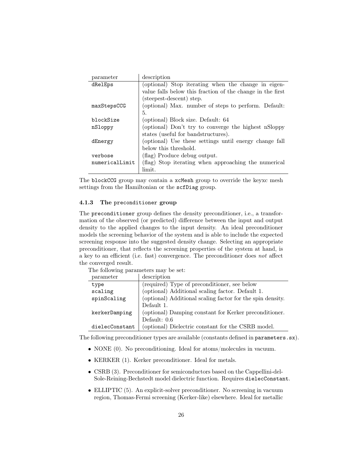<span id="page-26-1"></span>

| parameter      | description                                                |
|----------------|------------------------------------------------------------|
| dRelEps        | (optional) Stop iterating when the change in eigen-        |
|                | value falls below this fraction of the change in the first |
|                | (steepest-descent) step.                                   |
| maxStepsCCG    | (optional) Max. number of steps to perform. Default:       |
|                | 5.                                                         |
| blockSize      | (optional) Block size. Default: 64                         |
| nSloppy        | (optional) Don't try to converge the highest nSloppy       |
|                | states (useful for bandstructures).                        |
| dEnergy        | (optional) Use these settings until energy change fall     |
|                | below this threshold.                                      |
| verbose        | (flag) Produce debug output.                               |
| numericalLimit | (flag) Stop iterating when approaching the numerical       |
|                | limit.                                                     |

The blockCCG group may contain a [xcMesh](#page-14-1) group to override the keyxc mesh settings from the Hamiltonian or the [scfDiag](#page-22-1) group.

## <span id="page-26-0"></span>4.1.3 The preconditioner group

The preconditioner group defines the density preconditioner, i.e., a transformation of the observed (or predicted) difference between the input and output density to the applied changes to the input density. An ideal preconditioner models the screening behavior of the system and is able to include the expected screening response into the suggested density change. Selecting an appropriate preconditioner, that reflects the screening properties of the system at hand, is a key to an efficient (i.e. fast) convergence. The preconditioner does not affect the converged result.

The following parameters may be set:

| parameter      | description                                                |
|----------------|------------------------------------------------------------|
| type           | (required) Type of preconditioner, see below               |
| scaling        | (optional) Additional scaling factor. Default 1.           |
| spinScaling    | (optional) Additional scaling factor for the spin density. |
|                | Default 1.                                                 |
| kerkerDamping  | (optional) Damping constant for Kerker preconditioner.     |
|                | Default: $0.6$                                             |
| dielecConstant | (optional) Dielectric constant for the CSRB model.         |

The following preconditioner types are available (constants defined in parameters.sx).

- NONE (0). No preconditioning. Ideal for atoms/molecules in vacuum.
- KERKER (1). Kerker preconditioner. Ideal for metals.
- CSRB (3). Preconditioner for semiconductors based on the Cappellini-del-Sole-Reining-Bechstedt model dielectric function. Requires dielecConstant.
- ELLIPTIC (5). An explicit-solver preconditioner. No screening in vacuum region, Thomas-Fermi screening (Kerker-like) elsewhere. Ideal for metallic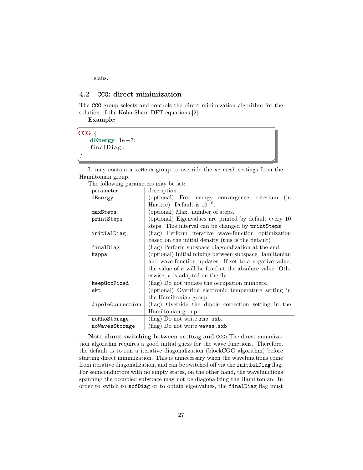<span id="page-27-1"></span>slabs.

## <span id="page-27-0"></span>4.2 CCG: direct minimization

The CCG group selects and controls the direct minimization algorithm for the solution of the Kohn-Sham DFT equations [\[2\]](#page-35-2).

Example:

 $\overline{a}$ 

 $CCG \{$ dEnergy=1e −7;  $final Diag;$ }

✝ ✆✌ It may contain a [xcMesh](#page-14-1) group to override the xc mesh settings from the Hamiltonian group.

| The following parameters may be set: |                                                                 |
|--------------------------------------|-----------------------------------------------------------------|
| parameter                            | description                                                     |
| dEnergy                              | (optional) Free energy convergence criterium<br>(in             |
|                                      | Hartree). Default is $10^{-8}$ .                                |
| maxSteps                             | (optional) Max. number of steps.                                |
| printSteps                           | (optional) Eigenvalues are printed by default every 10          |
|                                      | steps. This interval can be changed by printSteps.              |
| initialDiag                          | (flag) Perform iterative wave-function optimization             |
|                                      | based on the initial density (this is the default)              |
| finalDiag                            | (flag) Perform subspace diagonalization at the end.             |
| kappa                                | (optional) Initial mixing between subspace Hamiltonian          |
|                                      | and wave-function updates. If set to a negative value,          |
|                                      | the value of $\kappa$ will be fixed at the absolute value. Oth- |
|                                      | erwise, $\kappa$ is adapted on the fly.                         |
| keepOccFixed                         | (flag) Do not update the occupation numbers.                    |
| ekt                                  | (optional) Override electronic temperature setting in           |
|                                      | the Hamiltonian group.                                          |
| dipoleCorrection                     | (flag) Override the dipole correction setting in the            |
|                                      | Hamiltonian group.                                              |
| noRhoStorage                         | (flag) Do not write rho.sxb.                                    |
| noWavesStorage                       | flag) Do not write waves.sxb                                    |

Note about switching between [scfDiag](#page-22-1) and CCG: The direct minimization algorithm requires a good initial guess for the wave functions. Therefore, the default is to run a iterative diagonalization (blockCGG algorithm) before starting direct minimization. This is unnecessary when the wavefunctions come from iterative diagonalization, and can be switched off via the initialDiag flag. For semiconductors with no empty states, on the other hand, the wavefunctions spanning the occupied subspace may not be diagonalizing the Hamiltonian. In order to switch to [scfDiag](#page-22-1) or to obtain eigenvalues, the finalDiag flag must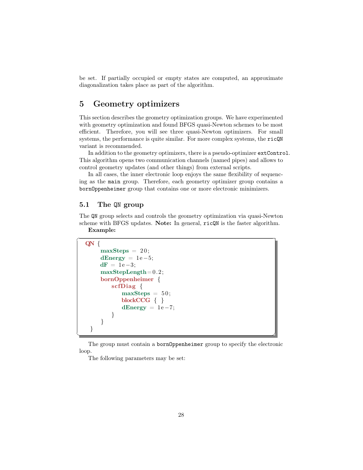<span id="page-28-2"></span>be set. If partially occupied or empty states are computed, an approximate diagonalization takes place as part of the algorithm.

# <span id="page-28-0"></span>5 Geometry optimizers

This section describes the geometry optimization groups. We have experimented with geometry optimization and found BFGS quasi-Newton schemes to be most efficient. Therefore, you will see three quasi-Newton optimizers. For small systems, the performance is quite similar. For more complex systems, the [ricQN](#page-30-0) variant is recommended.

In addition to the geometry optimizers, there is a pseudo-optimizer [extControl](#page-32-0). This algorithm opens two communication channels (named pipes) and allows to control geometry updates (and other things) from external scripts.

In all cases, the inner electronic loop enjoys the same flexibility of sequencing as the [main](#page-21-0) group. Therefore, each geometry optimizer group contains a [bornOppenheimer](#page-29-0) group that contains one or more electronic minimizers.

## <span id="page-28-1"></span>5.1 The QN group

The QN group selects and controls the geometry optimization via quasi-Newton scheme with BFGS updates. Note: In general, [ricQN](#page-30-0) is the faster algorithm. Example:

```
QN {
```
 $\overline{a}$ 

```
maxSteps = 20;dEnergy = 1e-5;d\mathbf{F} = 1e-3;maxStepLength = 0.2;
   bornOppenheimer {
      scfDiag \{maxSteps = 50;blockCCG { }
         dEnergy = 1e-7;
      }
   }
}
```
<del></del> <del></u></del> The group must contain a [bornOppenheimer](#page-29-0) group to specify the electronic loop.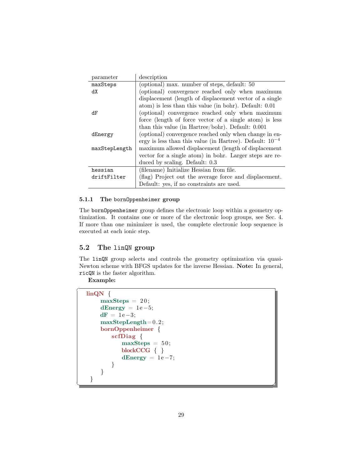<span id="page-29-2"></span>

| parameter     | description                                                   |
|---------------|---------------------------------------------------------------|
| maxSteps      | (optional) max. number of steps, default: 50                  |
| dX            | (optional) convergence reached only when maximum              |
|               | displacement (length of displacement vector of a single       |
|               | atom) is less than this value (in bohr). Default: 0.01        |
| dF            | (optional) convergence reached only when maximum              |
|               | force (length of force vector of a single atom) is less       |
|               | than this value (in Hartree/bohr). Default: $0.001$           |
| dEnergy       | (optional) convergence reached only when change in en-        |
|               | ergy is less than this value (in Hartree). Default: $10^{-4}$ |
| maxStepLength | maximum allowed displacement (length of displacement          |
|               | vector for a single atom) in bohr. Larger steps are re-       |
|               | duced by scaling. Default: 0.3                                |
| hessian       | (filename) Initialize Hessian from file.                      |
| driftFilter   | (flag) Project out the average force and displacement.        |
|               | Default: yes, if no constraints are used.                     |

## <span id="page-29-0"></span>5.1.1 The bornOppenheimer group

The bornOppenheimer group defines the electronic loop within a geometry optimization. It contains one or more of the electronic loop groups, see Sec. [4.](#page-22-0) If more than one minimizer is used, the complete electronic loop sequence is executed at each ionic step.

## <span id="page-29-1"></span>5.2 The linQN group

The linQN group selects and controls the geometry optimization via quasi-Newton scheme with BFGS updates for the inverse Hessian. Note: In general, [ricQN](#page-30-0) is the faster algorithm.

Example:

 $\overline{a}$ 

```
linQN {
    maxSteps = 20;dEnergy = 1e-5;
    d\mathbf{F} = 1e-3;maxStepLength=0.2;
    bornOppenheimer {
       scfDiag {
           maxSteps = 50;blockCCG \{ \}dEnergy = 1e-7;}
    }
 }
```
<del></u></del>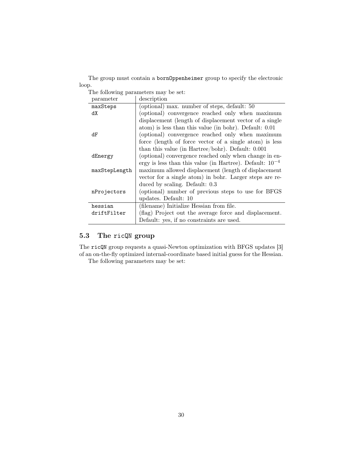<span id="page-30-1"></span>The group must contain a [bornOppenheimer](#page-29-0) group to specify the electronic loop.

The following parameters may be set:

| parameter     | description                                                   |
|---------------|---------------------------------------------------------------|
| maxSteps      | (optional) max. number of steps, default: 50                  |
| dX            | (optional) convergence reached only when maximum              |
|               | displacement (length of displacement vector of a single       |
|               | atom) is less than this value (in bohr). Default: 0.01        |
| dF            | (optional) convergence reached only when maximum              |
|               | force (length of force vector of a single atom) is less       |
|               | than this value (in Hartree/bohr). Default: $0.001$           |
| dEnergy       | (optional) convergence reached only when change in en-        |
|               | ergy is less than this value (in Hartree). Default: $10^{-4}$ |
| maxStepLength | maximum allowed displacement (length of displacement          |
|               | vector for a single atom) in bohr. Larger steps are re-       |
|               | duced by scaling. Default: 0.3                                |
| nProjectors   | (optional) number of previous steps to use for BFGS           |
|               | updates. Default: 10                                          |
| hessian       | (filename) Initialize Hessian from file.                      |
| driftFilter   | (flag) Project out the average force and displacement.        |
|               | Default: yes, if no constraints are used.                     |

# <span id="page-30-0"></span>5.3 The ricQN group

The ricQN group requests a quasi-Newton optimization with BFGS updates [\[3\]](#page-35-3) of an on-the-fly optimized internal-coordinate based initial guess for the Hessian.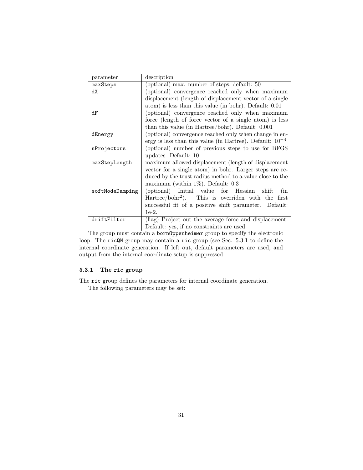<span id="page-31-1"></span>

| parameter       | description                                                   |
|-----------------|---------------------------------------------------------------|
| maxSteps        | (optional) max. number of steps, default: 50                  |
| dX              | (optional) convergence reached only when maximum              |
|                 | displacement (length of displacement vector of a single       |
|                 | atom) is less than this value (in bohr). Default: 0.01        |
| dF              | (optional) convergence reached only when maximum              |
|                 | force (length of force vector of a single atom) is less       |
|                 | than this value (in Hartree/bohr). Default: $0.001$           |
| dEnergy         | (optional) convergence reached only when change in en-        |
|                 | ergy is less than this value (in Hartree). Default: $10^{-4}$ |
| nProjectors     | (optional) number of previous steps to use for BFGS           |
|                 | updates. Default: 10                                          |
| maxStepLength   | maximum allowed displacement (length of displacement          |
|                 | vector for a single atom) in bohr. Larger steps are re-       |
|                 | duced by the trust radius method to a value close to the      |
|                 | maximum (within $1\%$ ). Default: 0.3                         |
| softModeDamping | (optional) Initial value for Hessian shift<br>(in             |
|                 | Hartree/bohr <sup>2</sup> ). This is overriden with the first |
|                 | successful fit of a positive shift parameter. Default:        |
|                 | $1e-2.$                                                       |
| driftFilter     | (flag) Project out the average force and displacement.        |
|                 | Default: yes, if no constraints are used.                     |

The group must contain a [bornOppenheimer](#page-29-0) group to specify the electronic loop. The ricQN group may contain a [ric](#page-31-0) group (see Sec. [5.3.1](#page-31-0) to define the internal coordinate generation. If left out, default parameters are used, and output from the internal coordinate setup is suppressed.

## <span id="page-31-0"></span>5.3.1 The ric group

The ric group defines the parameters for internal coordinate generation.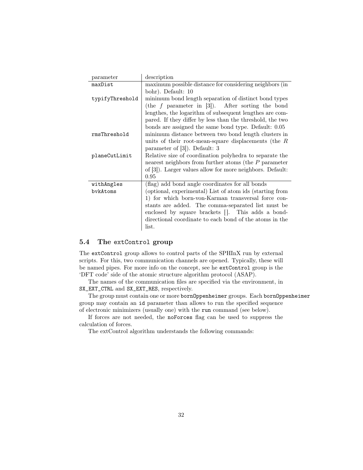<span id="page-32-1"></span>

| parameter       | description                                               |
|-----------------|-----------------------------------------------------------|
| maxDist         | maximum possible distance for considering neighbors (in   |
|                 | bohr). Default: 10                                        |
| typifyThreshold | minimum bond length separation of distinct bond types     |
|                 | (the $f$ parameter in [3]). After sorting the bond        |
|                 | lengthes, the logarithm of subsequent lengthes are com-   |
|                 | pared. If they differ by less than the threshold, the two |
|                 | bonds are assigned the same bond type. Default: 0.05      |
| rmsThreshold    | minimum distance between two bond length clusters in      |
|                 | units of their root-mean-square displacements (the $R$    |
|                 | parameter of $[3]$ . Default: 3                           |
| planeCutLimit   | Relative size of coordination polyhedra to separate the   |
|                 | nearest neighbors from further atoms (the $P$ parameter   |
|                 | of [3]). Larger values allow for more neighbors. Default: |
|                 | 0.95                                                      |
| withAngles      | (flag) add bond angle coordinates for all bonds           |
| bvkAtoms        | (optional, experimental) List of atom ids (starting from  |
|                 | 1) for which born-von-Karman transversal force con-       |
|                 | stants are added. The comma-separated list must be        |
|                 | enclosed by square brackets []. This adds a bond-         |
|                 | directional coordinate to each bond of the atoms in the   |
|                 | list.                                                     |

## <span id="page-32-0"></span>5.4 The extControl group

The extControl group allows to control parts of the SPHInX run by external scripts. For this, two communication channels are opened. Typically, these will be named pipes. For more info on the concept, see [he](https://sxrepo.mpie.de/attachments/download/12/sxextopt-manual.pdf#..T) extControl group is the 'DFT code' side of the atomic structure algorithm protocol (ASAP).

The names of the communication files are specified via the environment, in SX\_EXT\_CTRL and SX\_EXT\_RES, respectively.

The group must contain one or more [bornOppenheimer](#page-29-0) groups. Each [bornOppenheimer](#page-29-0) group may contain an id parameter than allows to run the specified sequence of electronic minimizers (usually one) with the run command (see below).

If forces are not needed, the noForces flag can be used to suppress the calculation of forces.

The extControl algorithm understands the following commands: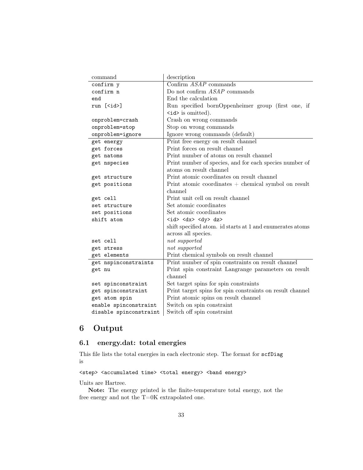<span id="page-33-2"></span>

| command                    | description                                               |
|----------------------------|-----------------------------------------------------------|
| confirm y                  | Confirm $ASAP$ commands                                   |
| confirm n                  | Do not confirm <i>ASAP</i> commands                       |
| end                        | End the calculation                                       |
| run $[\langle id \rangle]$ | Run specified bornOppenheimer group (first one, if        |
|                            | $\langle id \rangle$ is omitted).                         |
| onproblem=crash            | Crash on wrong commands                                   |
| onproblem=stop             | Stop on wrong commands                                    |
| onproblem=ignore           | Ignore wrong commands (default)                           |
| get energy                 | Print free energy on result channel                       |
| get forces                 | Print forces on result channel                            |
| get natoms                 | Print number of atoms on result channel                   |
| get nspecies               | Print number of species, and for each species number of   |
|                            | atoms on result channel                                   |
| get structure              | Print atomic coordinates on result channel                |
| get positions              | Print atomic coordinates $+$ chemical symbol on result    |
|                            | channel                                                   |
| get cell                   | Print unit cell on result channel                         |
| set structure              | Set atomic coordinates                                    |
| set positions              | Set atomic coordinates                                    |
| shift atom                 | $<$ id> $<$ dx> $<$ dy> dz>                               |
|                            | shift specified atom. id starts at 1 and enumerates atoms |
|                            | across all species.                                       |
| set cell                   | not supported                                             |
| get stress                 | not supported                                             |
| get elements               | Print chemical symbols on result channel                  |
| get nspinconstraints       | Print number of spin constraints on result channel        |
| get nu                     | Print spin constraint Langrange parameters on result      |
|                            | channel                                                   |
| set spinconstraint         | Set target spins for spin constraints                     |
| get spinconstraint         | Print target spins for spin constraints on result channel |
| get atom spin              | Print atomic spins on result channel                      |
| enable spinconstraint      | Switch on spin constraint                                 |
| disable spinconstraint     | Switch off spin constraint                                |

# <span id="page-33-0"></span>6 Output

# <span id="page-33-1"></span>6.1 energy.dat: total energies

This file lists the total energies in each electronic step. The format for [scfDiag](#page-22-1) is

<step> <accumulated time> <total energy> <br/> <br/>band energy>

Units are Hartree.

Note: The energy printed is the finite-temperature total energy, not the free energy and not the T=0K extrapolated one.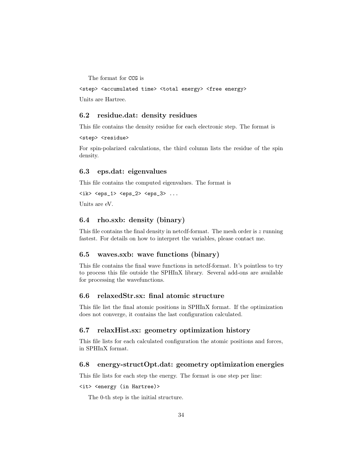<span id="page-34-7"></span>The format for [CCG](#page-27-0) is

<step> <accumulated time> <total energy> <free energy> Units are Hartree.

## <span id="page-34-0"></span>6.2 residue.dat: density residues

This file contains the density residue for each electronic step. The format is

<step> <residue>

For spin-polarized calculations, the third column lists the residue of the spin density.

## <span id="page-34-1"></span>6.3 eps.dat: eigenvalues

This file contains the computed eigenvalues. The format is

```
\langle 1k \rangle \langle 2p s_1 \rangle \langle 2p s_2 \rangle \langle 2p s_3 \rangle ...
```
Units are eV.

## <span id="page-34-2"></span>6.4 rho.sxb: density (binary)

This file contains the final density in netcdf-format. The mesh order is  $z$  running fastest. For details on how to interpret the variables, please contact me.

## <span id="page-34-3"></span>6.5 waves.sxb: wave functions (binary)

This file contains the final wave functions in netcdf-format. It's pointless to try to process this file outside the SPHInX library. Several add-ons are available for processing the wavefunctions.

#### <span id="page-34-4"></span>6.6 relaxedStr.sx: final atomic structure

This file list the final atomic positions in SPHInX format. If the optimization does not converge, it contains the last configuration calculated.

## <span id="page-34-5"></span>6.7 relaxHist.sx: geometry optimization history

This file lists for each calculated configuration the atomic positions and forces, in SPHInX format.

#### <span id="page-34-6"></span>6.8 energy-structOpt.dat: geometry optimization energies

This file lists for each step the energy. The format is one step per line:

#### <it> <energy (in Hartree)>

The 0-th step is the initial structure.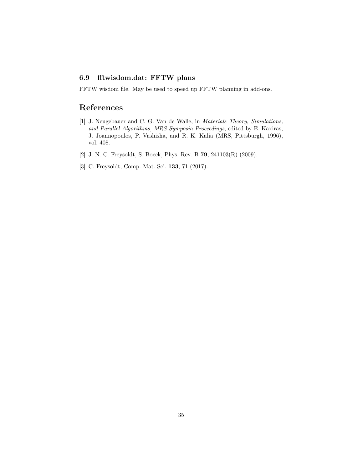## <span id="page-35-4"></span><span id="page-35-0"></span>6.9 fftwisdom.dat: FFTW plans

FFTW wisdom file. May be used to speed up FFTW planning in add-ons.

# References

- <span id="page-35-1"></span>[1] J. Neugebauer and C. G. Van de Walle, in Materials Theory, Simulations, and Parallel Algorithms, MRS Symposia Proceedings, edited by E. Kaxiras, J. Joannopoulos, P. Vashisha, and R. K. Kalia (MRS, Pittsburgh, 1996), vol. 408.
- <span id="page-35-2"></span>[2] J. N. C. Freysoldt, S. Boeck, Phys. Rev. B 79, 241103(R) (2009).
- <span id="page-35-3"></span>[3] C. Freysoldt, Comp. Mat. Sci. 133, 71 (2017).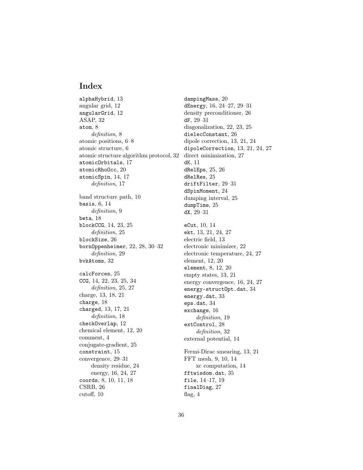# Index

<span id="page-36-0"></span>alphaHybrid, [13](#page-13-1) angular grid, [12](#page-12-1) angularGrid, [12](#page-12-1) ASAP, [32](#page-32-1) atom, [8](#page-8-2) definition, [8](#page-8-2) atomic positions, [6–](#page-6-1)[8](#page-8-2) atomic structure, [6](#page-6-1) atomic structure algorithm protocol, [32](#page-32-1) atomicOrbitals, [17](#page-17-1) atomicRhoOcc, [20](#page-20-1) atomicSpin, [14,](#page-14-3) [17](#page-17-1) definition, [17](#page-17-1) band structure path, [10](#page-10-2) basis, [6,](#page-6-1) [14](#page-14-3) definition, [9](#page-9-1) beta, [18](#page-18-2) blockCCG, [14,](#page-14-3) [23,](#page-23-1) [25](#page-25-2) definition, [25](#page-25-2) blockSize, [26](#page-26-1) bornOppenheimer, [22,](#page-22-2) [28,](#page-28-2) [30](#page-30-1)[–32](#page-32-1) definition, [29](#page-29-2) bvkAtoms, [32](#page-32-1) calcForces, [25](#page-25-2) CCG, [14,](#page-14-3) [22,](#page-22-2) [23,](#page-23-1) [25,](#page-25-2) [34](#page-34-7) definition, [25,](#page-25-2) [27](#page-27-1) charge, [13,](#page-13-1) [18,](#page-18-2) [21](#page-21-1) charge, [18](#page-18-2) charged, [13,](#page-13-1) [17,](#page-17-1) [21](#page-21-1) definition, [18](#page-18-2) checkOverlap, [12](#page-12-1) chemical element, [12,](#page-12-1) [20](#page-20-1) comment, [4](#page-4-2) conjugate-gradient, [25](#page-25-2) constraint, [15](#page-15-1) convergence, [29–](#page-29-2)[31](#page-31-1) density residue, [24](#page-24-0) energy, [16,](#page-16-3) [24,](#page-24-0) [27](#page-27-1) coords, [8,](#page-8-2) [10,](#page-10-2) [11,](#page-11-2) [18](#page-18-2) CSRB, [26](#page-26-1) cutoff, [10](#page-10-2)

dampingMass, [20](#page-20-1) dEnergy, [16,](#page-16-3) [24](#page-24-0)[–27,](#page-27-1) [29](#page-29-2)[–31](#page-31-1) density preconditioner, [26](#page-26-1) dF, [29](#page-29-2)[–31](#page-31-1) diagonalization, [22,](#page-22-2) [23,](#page-23-1) [25](#page-25-2) dielecConstant, [26](#page-26-1) dipole correction, [13,](#page-13-1) [21,](#page-21-1) [24](#page-24-0) dipoleCorrection, [13,](#page-13-1) [21,](#page-21-1) [24,](#page-24-0) [27](#page-27-1) direct minimization, [27](#page-27-1) dK, [11](#page-11-2) dRelEps, [25,](#page-25-2) [26](#page-26-1) dRelRes, [25](#page-25-2) driftFilter, [29](#page-29-2)[–31](#page-31-1) dSpinMoment, [24](#page-24-0) dumping interval, [25](#page-25-2) dumpTime, [25](#page-25-2) dX, [29](#page-29-2)[–31](#page-31-1) eCut, [10,](#page-10-2) [14](#page-14-3) ekt, [13,](#page-13-1) [21,](#page-21-1) [24,](#page-24-0) [27](#page-27-1) electric field, [13](#page-13-1) electronic minimizer, [22](#page-22-2) electronic temperature, [24,](#page-24-0) [27](#page-27-1) element, [12,](#page-12-1) [20](#page-20-1) element, [8,](#page-8-2) [12,](#page-12-1) [20](#page-20-1) empty states, [13,](#page-13-1) [21](#page-21-1) energy convergence, [16,](#page-16-3) [24,](#page-24-0) [27](#page-27-1) energy-structOpt.dat, [34](#page-34-7) energy.dat, [33](#page-33-2) eps.dat, [34](#page-34-7) exchange, [16](#page-16-3) definition, [19](#page-19-2) extControl, [28](#page-28-2) definition, [32](#page-32-1) external potential, [14](#page-14-3) Fermi-Dirac smearing, [13,](#page-13-1) [21](#page-21-1) FFT mesh, [9,](#page-9-1) [10,](#page-10-2) [14](#page-14-3) xc computation, [14](#page-14-3) fftwisdom.dat, [35](#page-35-4) file, [14–](#page-14-3)[17,](#page-17-1) [19](#page-19-2) finalDiag, [27](#page-27-1) flag, [4](#page-4-2)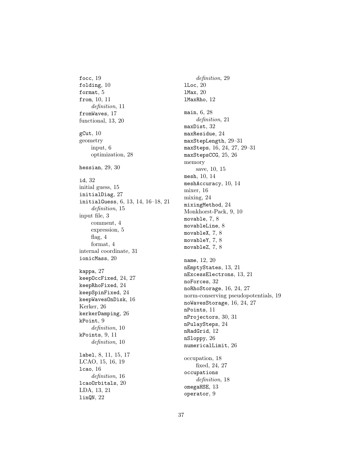focc, [19](#page-19-2) folding, [10](#page-10-2) format, [5](#page-5-4) from, [10,](#page-10-2) [11](#page-11-2) definition, [11](#page-11-2) fromWaves, [17](#page-17-1) functional, [13,](#page-13-1) [20](#page-20-1) gCut, [10](#page-10-2) geometry input, [6](#page-6-1) optimization, [28](#page-28-2) hessian, [29,](#page-29-2) [30](#page-30-1) id, [32](#page-32-1) initial guess, [15](#page-15-1) initialDiag, [27](#page-27-1) initialGuess, [6,](#page-6-1) [13,](#page-13-1) [14,](#page-14-3) [16–](#page-16-3)[18,](#page-18-2) [21](#page-21-1) definition, [15](#page-15-1) input file, [3](#page-3-6) comment, [4](#page-4-2) expression, [5](#page-5-4) flag, [4](#page-4-2) format, [4](#page-4-2) internal coordinate, [31](#page-31-1) ionicMass, [20](#page-20-1) kappa, [27](#page-27-1) keepOccFixed, [24,](#page-24-0) [27](#page-27-1) keepRhoFixed, [24](#page-24-0) keepSpinFixed, [24](#page-24-0) keepWavesOnDisk, [16](#page-16-3) Kerker, [26](#page-26-1) kerkerDamping, [26](#page-26-1) kPoint, [9](#page-9-1) definition, [10](#page-10-2) kPoints, [9,](#page-9-1) [11](#page-11-2) definition, [10](#page-10-2) label, [8,](#page-8-2) [11,](#page-11-2) [15,](#page-15-1) [17](#page-17-1) LCAO, [15,](#page-15-1) [16,](#page-16-3) [19](#page-19-2) lcao, [16](#page-16-3) definition, [16](#page-16-3) lcaoOrbitals, [20](#page-20-1) LDA, [13,](#page-13-1) [21](#page-21-1) linQN, [22](#page-22-2)

definition, [29](#page-29-2) lLoc, [20](#page-20-1) lMax, [20](#page-20-1) lMaxRho, [12](#page-12-1) main, [6,](#page-6-1) [28](#page-28-2) definition, [21](#page-21-1) maxDist, [32](#page-32-1) maxResidue, [24](#page-24-0) maxStepLength, [29–](#page-29-2)[31](#page-31-1) maxSteps, [16,](#page-16-3) [24,](#page-24-0) [27,](#page-27-1) [29–](#page-29-2)[31](#page-31-1) maxStepsCCG, [25,](#page-25-2) [26](#page-26-1) memory save, [10,](#page-10-2) [15](#page-15-1) mesh, [10,](#page-10-2) [14](#page-14-3) meshAccuracy, [10,](#page-10-2) [14](#page-14-3) mixer, [16](#page-16-3) mixing, [24](#page-24-0) mixingMethod, [24](#page-24-0) Monkhorst-Pack, [9,](#page-9-1) [10](#page-10-2) movable, [7,](#page-7-1) [8](#page-8-2) movableLine, [8](#page-8-2) movableX, [7,](#page-7-1) [8](#page-8-2) movableY, [7,](#page-7-1) [8](#page-8-2) movableZ, [7,](#page-7-1) [8](#page-8-2) name, [12,](#page-12-1) [20](#page-20-1) nEmptyStates, [13,](#page-13-1) [21](#page-21-1) nExcessElectrons, [13,](#page-13-1) [21](#page-21-1) noForces, [32](#page-32-1) noRhoStorage, [16,](#page-16-3) [24,](#page-24-0) [27](#page-27-1) norm-conserving pseudopotentials, [19](#page-19-2) noWavesStorage, [16,](#page-16-3) [24,](#page-24-0) [27](#page-27-1) nPoints, [11](#page-11-2) nProjectors, [30,](#page-30-1) [31](#page-31-1) nPulaySteps, [24](#page-24-0) nRadGrid, [12](#page-12-1) nSloppy, [26](#page-26-1) numericalLimit, [26](#page-26-1) occupation, [18](#page-18-2) fixed, [24,](#page-24-0) [27](#page-27-1) occupations definition, [18](#page-18-2) omegaHSE, [13](#page-13-1) operator, [9](#page-9-1)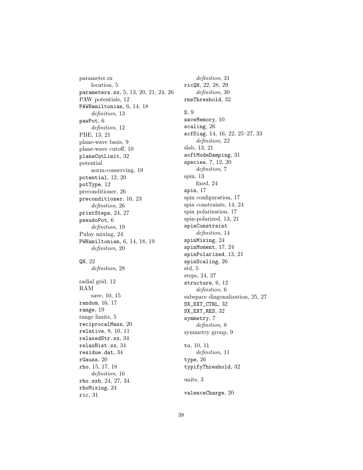parameter.sx location, [5](#page-5-4) parameters.sx, [5,](#page-5-4) [13,](#page-13-1) [20,](#page-20-1) [21,](#page-21-1) [24,](#page-24-0) [26](#page-26-1) PAW potentials, [12](#page-12-1) PAWHamiltonian, [6,](#page-6-1) [14,](#page-14-3) [18](#page-18-2) definition, [13](#page-13-1) pawPot, [6](#page-6-1) definition, [12](#page-12-1) PBE, [13,](#page-13-1) [21](#page-21-1) plane-wave basis, [9](#page-9-1) plane-wave cutoff, [10](#page-10-2) planeCutLimit, [32](#page-32-1) potential norm-conserving, [19](#page-19-2) potential, [12,](#page-12-1) [20](#page-20-1) potType, [12](#page-12-1) preconditioner, [26](#page-26-1) preconditioner, [16,](#page-16-3) [23](#page-23-1) definition, [26](#page-26-1) printSteps, [24,](#page-24-0) [27](#page-27-1) pseudoPot, [6](#page-6-1) definition, [19](#page-19-2) Pulay mixing, [24](#page-24-0) PWHamiltonian, [6,](#page-6-1) [14,](#page-14-3) [18,](#page-18-2) [19](#page-19-2) definition, [20](#page-20-1) QN, [22](#page-22-2) definition, [28](#page-28-2) radial grid, [12](#page-12-1) RAM save, [10,](#page-10-2) [15](#page-15-1) random, [16,](#page-16-3) [17](#page-17-1) range, [19](#page-19-2) range limits, [5](#page-5-4) reciprocalMass, [20](#page-20-1) relative, [8,](#page-8-2) [10,](#page-10-2) [11](#page-11-2) relaxedStr.sx, [34](#page-34-7) relaxHist.sx, [34](#page-34-7) residue.dat, [34](#page-34-7) rGauss, [20](#page-20-1) rho, [15,](#page-15-1) [17,](#page-17-1) [18](#page-18-2) definition, [16](#page-16-3) rho.sxb, [24,](#page-24-0) [27,](#page-27-1) [34](#page-34-7) rhoMixing, [24](#page-24-0) ric, [31](#page-31-1)

definition, [31](#page-31-1) ricQN, [22,](#page-22-2) [28,](#page-28-2) [29](#page-29-2) definition, [30](#page-30-1) rmsThreshold, [32](#page-32-1) S, [9](#page-9-1) saveMemory, [10](#page-10-2) scaling, [26](#page-26-1) scfDiag, [14,](#page-14-3) [16,](#page-16-3) [22,](#page-22-2) [25](#page-25-2)[–27,](#page-27-1) [33](#page-33-2) definition, [22](#page-22-2) slab, [13,](#page-13-1) [21](#page-21-1) softModeDamping, [31](#page-31-1) species, [7,](#page-7-1) [12,](#page-12-1) [20](#page-20-1) definition, [7](#page-7-1) spin, [13](#page-13-1) fixed, [24](#page-24-0) spin, [17](#page-17-1) spin configuration, [17](#page-17-1) spin constraints, [14,](#page-14-3) [24](#page-24-0) spin polarization, [17](#page-17-1) spin-polarized, [13,](#page-13-1) [21](#page-21-1) spinConstraint definition, [14](#page-14-3) spinMixing, [24](#page-24-0) spinMoment, [17,](#page-17-1) [24](#page-24-0) spinPolarized, [13,](#page-13-1) [21](#page-21-1) spinScaling, [26](#page-26-1) std, [5](#page-5-4) steps, [24,](#page-24-0) [27](#page-27-1) structure, [6,](#page-6-1) [12](#page-12-1) definition, [6](#page-6-1) subspace diagonalization, [25,](#page-25-2) [27](#page-27-1) SX\_EXT\_CTRL, [32](#page-32-1) SX\_EXT\_RES, [32](#page-32-1) symmetry, [7](#page-7-1) definition, [8](#page-8-2) symmetry group, [9](#page-9-1) to, [10,](#page-10-2) [11](#page-11-2) definition, [11](#page-11-2) type, [26](#page-26-1) typifyThreshold, [32](#page-32-1) units, [3](#page-3-6) valenceCharge, [20](#page-20-1)